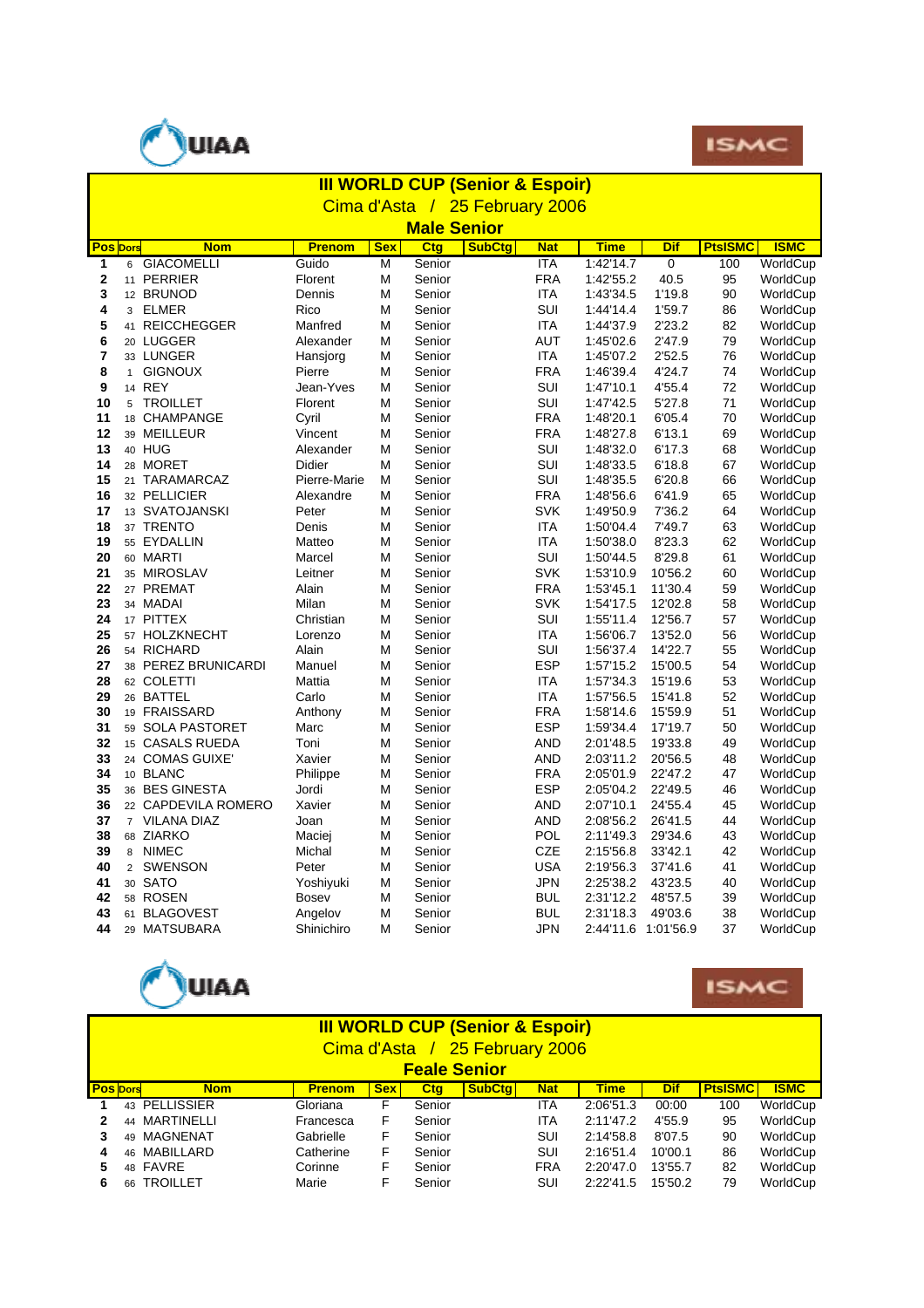



|             | <b>III WORLD CUP (Senior &amp; Espoir)</b> |               |            |                    |               |            |                     |                |                |             |  |  |  |
|-------------|--------------------------------------------|---------------|------------|--------------------|---------------|------------|---------------------|----------------|----------------|-------------|--|--|--|
|             | Cima d'Asta / 25 February 2006             |               |            |                    |               |            |                     |                |                |             |  |  |  |
|             |                                            |               |            | <b>Male Senior</b> |               |            |                     |                |                |             |  |  |  |
|             | <b>Pos</b> Dors<br><b>Nom</b>              | <b>Prenom</b> | <b>Sex</b> | Ctg                | <b>SubCtg</b> | <b>Nat</b> | <b>Time</b>         | <b>Dif</b>     | <b>PtsISMC</b> | <b>ISMC</b> |  |  |  |
| 1           | <b>GIACOMELLI</b><br>6                     | Guido         | M          | Senior             |               | <b>ITA</b> | 1:42'14.7           | $\overline{0}$ | 100            | WorldCup    |  |  |  |
| $\mathbf 2$ | 11 PERRIER                                 | Florent       | М          | Senior             |               | <b>FRA</b> | 1:42'55.2           | 40.5           | 95             | WorldCup    |  |  |  |
| 3           | 12 BRUNOD                                  | Dennis        | M          | Senior             |               | <b>ITA</b> | 1:43'34.5           | 1'19.8         | 90             | WorldCup    |  |  |  |
| 4           | <b>ELMER</b><br>3                          | Rico          | M          | Senior             |               | SUI        | 1:44'14.4           | 1'59.7         | 86             | WorldCup    |  |  |  |
| 5           | 41 REICCHEGGER                             | Manfred       | M          | Senior             |               | <b>ITA</b> | 1:44'37.9           | 2'23.2         | 82             | WorldCup    |  |  |  |
| 6           | 20 LUGGER                                  | Alexander     | M          | Senior             |               | AUT        | 1:45'02.6           | 2'47.9         | 79             | WorldCup    |  |  |  |
| 7           | 33 LUNGER                                  | Hansjorg      | M          | Senior             |               | <b>ITA</b> | 1:45'07.2           | 2'52.5         | 76             | WorldCup    |  |  |  |
| 8           | <b>GIGNOUX</b><br>$\mathbf{1}$             | Pierre        | М          | Senior             |               | <b>FRA</b> | 1:46'39.4           | 4'24.7         | 74             | WorldCup    |  |  |  |
| 9           | 14 REY                                     | Jean-Yves     | M          | Senior             |               | SUI        | 1:47'10.1           | 4'55.4         | 72             | WorldCup    |  |  |  |
| 10          | <b>TROILLET</b><br>5                       | Florent       | М          | Senior             |               | SUI        | 1:47'42.5           | 5'27.8         | 71             | WorldCup    |  |  |  |
| 11          | CHAMPANGE<br>18                            | Cyril         | М          | Senior             |               | <b>FRA</b> | 1:48'20.1           | 6'05.4         | 70             | WorldCup    |  |  |  |
| 12          | 39 MEILLEUR                                | Vincent       | М          | Senior             |               | <b>FRA</b> | 1:48'27.8           | 6'13.1         | 69             | WorldCup    |  |  |  |
| 13          | 40 HUG                                     | Alexander     | М          | Senior             |               | SUI        | 1:48'32.0           | 6'17.3         | 68             | WorldCup    |  |  |  |
| 14          | 28 MORET                                   | Didier        | М          | Senior             |               | SUI        | 1:48'33.5           | 6'18.8         | 67             | WorldCup    |  |  |  |
| 15          | 21 TARAMARCAZ                              | Pierre-Marie  | M          | Senior             |               | SUI        | 1:48'35.5           | 6'20.8         | 66             | WorldCup    |  |  |  |
| 16          | 32 PELLICIER                               | Alexandre     | М          | Senior             |               | <b>FRA</b> | 1:48'56.6           | 6'41.9         | 65             | WorldCup    |  |  |  |
| 17          | 13 SVATOJANSKI                             | Peter         | M          | Senior             |               | <b>SVK</b> | 1:49'50.9           | 7'36.2         | 64             | WorldCup    |  |  |  |
| 18          | 37 TRENTO                                  | Denis         | М          | Senior             |               | <b>ITA</b> | 1:50'04.4           | 7'49.7         | 63             | WorldCup    |  |  |  |
| 19          | 55 EYDALLIN                                | Matteo        | М          | Senior             |               | <b>ITA</b> | 1:50'38.0           | 8'23.3         | 62             | WorldCup    |  |  |  |
| 20          | 60 MARTI                                   | Marcel        | М          | Senior             |               | SUI        | 1:50'44.5           | 8'29.8         | 61             | WorldCup    |  |  |  |
| 21          | 35 MIROSLAV                                | Leitner       | М          | Senior             |               | <b>SVK</b> | 1:53'10.9           | 10'56.2        | 60             | WorldCup    |  |  |  |
| 22          | 27 PREMAT                                  | Alain         | М          | Senior             |               | <b>FRA</b> | 1:53'45.1           | 11'30.4        | 59             | WorldCup    |  |  |  |
| 23          | 34 MADAI                                   | Milan         | М          | Senior             |               | <b>SVK</b> | 1:54'17.5           | 12'02.8        | 58             | WorldCup    |  |  |  |
| 24          | 17 PITTEX                                  | Christian     | М          | Senior             |               | SUI        | 1:55'11.4           | 12'56.7        | 57             | WorldCup    |  |  |  |
| 25          | 57 HOLZKNECHT                              | Lorenzo       | М          | Senior             |               | <b>ITA</b> | 1:56'06.7           | 13'52.0        | 56             | WorldCup    |  |  |  |
| 26          | 54 RICHARD                                 | Alain         | М          | Senior             |               | SUI        | 1:56'37.4           | 14'22.7        | 55             | WorldCup    |  |  |  |
| 27          | 38 PEREZ BRUNICARDI                        | Manuel        | М          | Senior             |               | <b>ESP</b> | 1:57'15.2           | 15'00.5        | 54             | WorldCup    |  |  |  |
| 28          | 62 COLETTI                                 | Mattia        | M          | Senior             |               | <b>ITA</b> | 1:57'34.3           | 15'19.6        | 53             | WorldCup    |  |  |  |
| 29          | 26 BATTEL                                  | Carlo         | M          | Senior             |               | <b>ITA</b> | 1:57'56.5           | 15'41.8        | 52             | WorldCup    |  |  |  |
| 30          | 19 FRAISSARD                               | Anthony       | M          | Senior             |               | <b>FRA</b> | 1:58'14.6           | 15'59.9        | 51             | WorldCup    |  |  |  |
| 31          | <b>SOLA PASTORET</b><br>59                 | Marc          | M          | Senior             |               | <b>ESP</b> | 1:59'34.4           | 17'19.7        | 50             | WorldCup    |  |  |  |
| 32          | 15 CASALS RUEDA                            | Toni          | M          | Senior             |               | <b>AND</b> | 2:01'48.5           | 19'33.8        | 49             | WorldCup    |  |  |  |
| 33          | 24 COMAS GUIXE'                            | Xavier        | M          | Senior             |               | <b>AND</b> | 2:03'11.2           | 20'56.5        | 48             | WorldCup    |  |  |  |
| 34          | 10 BLANC                                   | Philippe      | М          | Senior             |               | <b>FRA</b> | 2:05'01.9           | 22'47.2        | 47             | WorldCup    |  |  |  |
| 35          | 36 BES GINESTA                             | Jordi         | М          | Senior             |               | <b>ESP</b> | 2:05'04.2           | 22'49.5        | 46             | WorldCup    |  |  |  |
| 36          | 22 CAPDEVILA ROMERO                        | Xavier        | M          | Senior             |               | <b>AND</b> | 2:07'10.1           | 24'55.4        | 45             | WorldCup    |  |  |  |
| 37          | 7 VILANA DIAZ                              | Joan          | М          | Senior             |               | <b>AND</b> | 2:08'56.2           | 26'41.5        | 44             | WorldCup    |  |  |  |
| 38          | 68 ZIARKO                                  | Maciej        | М          | Senior             |               | POL        | 2:11'49.3           | 29'34.6        | 43             | WorldCup    |  |  |  |
| 39          | 8 NIMEC                                    | Michal        | М          | Senior             |               | <b>CZE</b> | 2:15'56.8           | 33'42.1        | 42             | WorldCup    |  |  |  |
| 40          | $\overline{2}$<br><b>SWENSON</b>           | Peter         | М          | Senior             |               | <b>USA</b> | 2:19'56.3           | 37'41.6        | 41             | WorldCup    |  |  |  |
| 41          | 30 SATO                                    | Yoshiyuki     | M          | Senior             |               | <b>JPN</b> | 2:25'38.2           | 43'23.5        | 40             | WorldCup    |  |  |  |
| 42          | 58 ROSEN                                   | <b>Bosev</b>  | М          | Senior             |               | BUL        | 2:31'12.2           | 48'57.5        | 39             | WorldCup    |  |  |  |
| 43          | 61 BLAGOVEST                               | Angelov       | М          | Senior             |               | BUL        | 2:31'18.3           | 49'03.6        | 38             | WorldCup    |  |  |  |
| 44          | 29 MATSUBARA                               | Shinichiro    | М          | Senior             |               | <b>JPN</b> | 2:44'11.6 1:01'56.9 |                | 37             | WorldCup    |  |  |  |





|                 | <b>III WORLD CUP (Senior &amp; Espoir)</b><br>Cima d'Asta / 25 February 2006 |                   |               |            |            |               |            |             |            |                |             |
|-----------------|------------------------------------------------------------------------------|-------------------|---------------|------------|------------|---------------|------------|-------------|------------|----------------|-------------|
|                 | <b>Feale Senior</b>                                                          |                   |               |            |            |               |            |             |            |                |             |
| <b>Pos</b> Dors |                                                                              | <b>Nom</b>        | <b>Prenom</b> | <b>Sex</b> | <b>Ctg</b> | <b>SubCta</b> | <b>Nat</b> | <b>Time</b> | <b>Dif</b> | <b>PtsISMC</b> | <b>ISMC</b> |
|                 | 43                                                                           | <b>PELLISSIER</b> | Gloriana      | F          | Senior     |               | <b>ITA</b> | 2:06'51.3   | 00:00      | 100            | WorldCup    |
| 2               | 44                                                                           | MARTINELLI        | Francesca     | F          | Senior     |               | <b>ITA</b> | 2:11'47.2   | 4'55.9     | 95             | WorldCup    |
|                 | 49                                                                           | MAGNENAT          | Gabrielle     | F          | Senior     |               | SUI        | 2:14'58.8   | 8'07.5     | 90             | WorldCup    |
| 4               | 46                                                                           | MABILLARD         | Catherine     | F          | Senior     |               | SUI        | 2:16'51.4   | 10'00.1    | 86             | WorldCup    |
| 5               | 48                                                                           | <b>FAVRE</b>      | Corinne       | F          | Senior     |               | <b>FRA</b> | 2:20'47.0   | 13'55.7    | 82             | WorldCup    |
| 6               |                                                                              | 66 TROILLET       | Marie         | F          | Senior     |               | SUI        | 2:22'41.5   | 15'50.2    | 79             | WorldCup    |